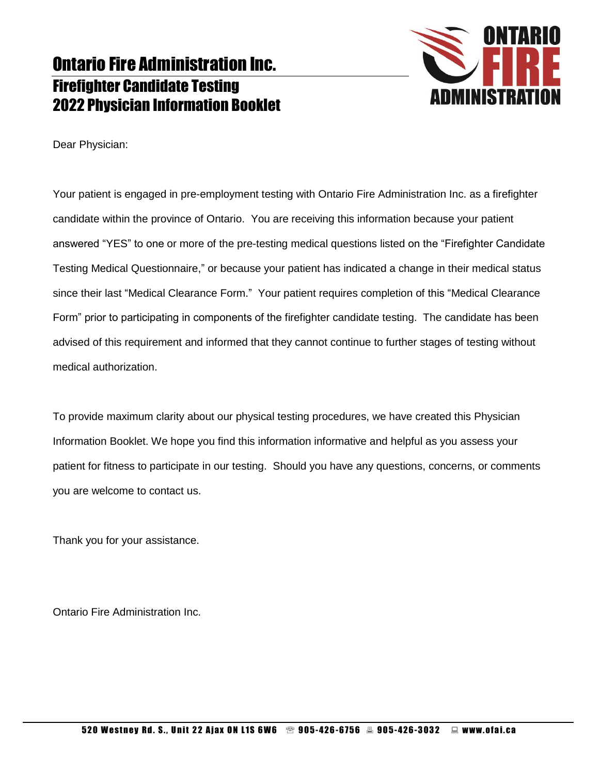

Dear Physician:

Your patient is engaged in pre-employment testing with Ontario Fire Administration Inc. as a firefighter candidate within the province of Ontario. You are receiving this information because your patient answered "YES" to one or more of the pre-testing medical questions listed on the "Firefighter Candidate Testing Medical Questionnaire," or because your patient has indicated a change in their medical status since their last "Medical Clearance Form." Your patient requires completion of this "Medical Clearance Form" prior to participating in components of the firefighter candidate testing. The candidate has been advised of this requirement and informed that they cannot continue to further stages of testing without medical authorization.

To provide maximum clarity about our physical testing procedures, we have created this Physician Information Booklet. We hope you find this information informative and helpful as you assess your patient for fitness to participate in our testing. Should you have any questions, concerns, or comments you are welcome to contact us.

Thank you for your assistance.

Ontario Fire Administration Inc.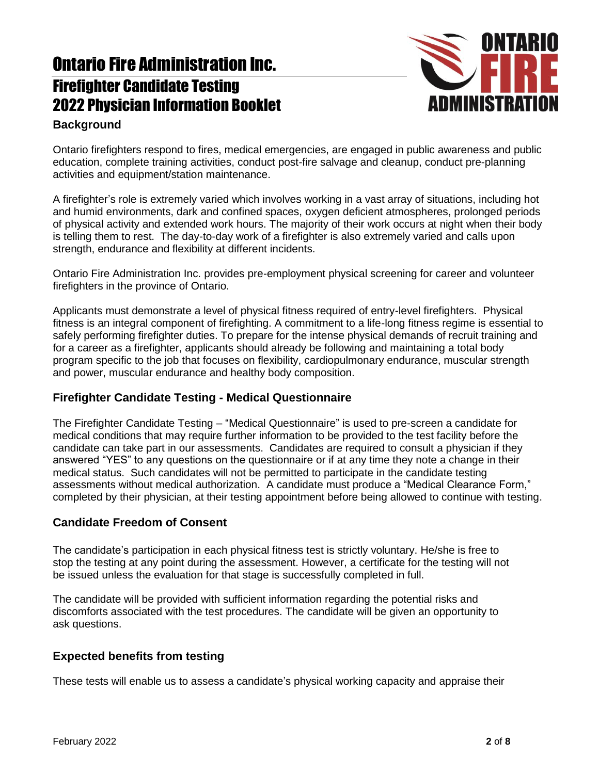

### **Background**

Ontario firefighters respond to fires, medical emergencies, are engaged in public awareness and public education, complete training activities, conduct post-fire salvage and cleanup, conduct pre-planning activities and equipment/station maintenance.

A firefighter's role is extremely varied which involves working in a vast array of situations, including hot and humid environments, dark and confined spaces, oxygen deficient atmospheres, prolonged periods of physical activity and extended work hours. The majority of their work occurs at night when their body is telling them to rest. The day-to-day work of a firefighter is also extremely varied and calls upon strength, endurance and flexibility at different incidents.

Ontario Fire Administration Inc. provides pre-employment physical screening for career and volunteer firefighters in the province of Ontario.

Applicants must demonstrate a level of physical fitness required of entry-level firefighters. Physical fitness is an integral component of firefighting. A commitment to a life-long fitness regime is essential to safely performing firefighter duties. To prepare for the intense physical demands of recruit training and for a career as a firefighter, applicants should already be following and maintaining a total body program specific to the job that focuses on flexibility, cardiopulmonary endurance, muscular strength and power, muscular endurance and healthy body composition.

### **Firefighter Candidate Testing - Medical Questionnaire**

The Firefighter Candidate Testing – "Medical Questionnaire" is used to pre-screen a candidate for medical conditions that may require further information to be provided to the test facility before the candidate can take part in our assessments. Candidates are required to consult a physician if they answered "YES" to any questions on the questionnaire or if at any time they note a change in their medical status. Such candidates will not be permitted to participate in the candidate testing assessments without medical authorization. A candidate must produce a "Medical Clearance Form," completed by their physician, at their testing appointment before being allowed to continue with testing.

### **Candidate Freedom of Consent**

The candidate's participation in each physical fitness test is strictly voluntary. He/she is free to stop the testing at any point during the assessment. However, a certificate for the testing will not be issued unless the evaluation for that stage is successfully completed in full.

The candidate will be provided with sufficient information regarding the potential risks and discomforts associated with the test procedures. The candidate will be given an opportunity to ask questions.

### **Expected benefits from testing**

These tests will enable us to assess a candidate's physical working capacity and appraise their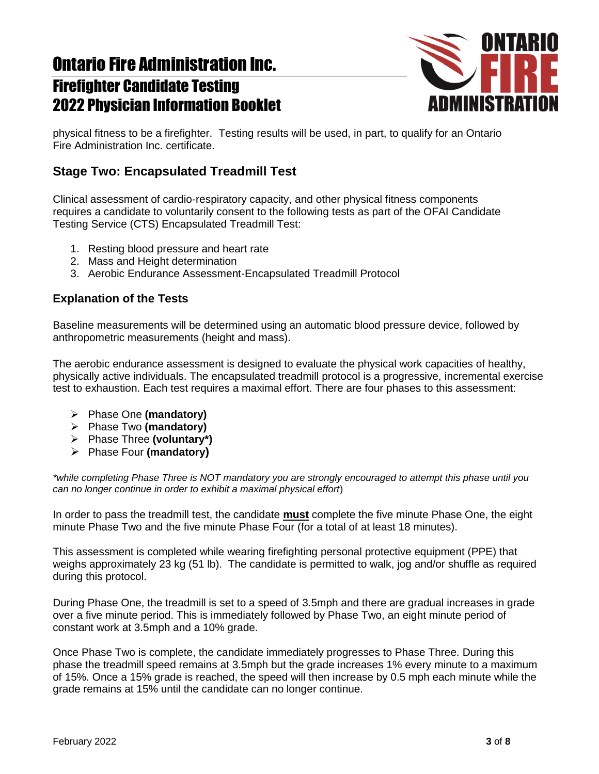

physical fitness to be a firefighter. Testing results will be used, in part, to qualify for an Ontario Fire Administration Inc. certificate.

## **Stage Two: Encapsulated Treadmill Test**

Clinical assessment of cardio-respiratory capacity, and other physical fitness components requires a candidate to voluntarily consent to the following tests as part of the OFAI Candidate Testing Service (CTS) Encapsulated Treadmill Test:

- 1. Resting blood pressure and heart rate
- 2. Mass and Height determination
- 3. Aerobic Endurance Assessment-Encapsulated Treadmill Protocol

### **Explanation of the Tests**

Baseline measurements will be determined using an automatic blood pressure device, followed by anthropometric measurements (height and mass).

The aerobic endurance assessment is designed to evaluate the physical work capacities of healthy, physically active individuals. The encapsulated treadmill protocol is a progressive, incremental exercise test to exhaustion. Each test requires a maximal effort. There are four phases to this assessment:

- Phase One **(mandatory)**
- Phase Two **(mandatory)**
- Phase Three **(voluntary\*)**
- Phase Four **(mandatory)**

*\*while completing Phase Three is NOT mandatory you are strongly encouraged to attempt this phase until you can no longer continue in order to exhibit a maximal physical effort*)

In order to pass the treadmill test, the candidate **must** complete the five minute Phase One, the eight minute Phase Two and the five minute Phase Four (for a total of at least 18 minutes).

This assessment is completed while wearing firefighting personal protective equipment (PPE) that weighs approximately 23 kg (51 lb). The candidate is permitted to walk, jog and/or shuffle as required during this protocol.

During Phase One, the treadmill is set to a speed of 3.5mph and there are gradual increases in grade over a five minute period. This is immediately followed by Phase Two, an eight minute period of constant work at 3.5mph and a 10% grade.

Once Phase Two is complete, the candidate immediately progresses to Phase Three. During this phase the treadmill speed remains at 3.5mph but the grade increases 1% every minute to a maximum of 15%. Once a 15% grade is reached, the speed will then increase by 0.5 mph each minute while the grade remains at 15% until the candidate can no longer continue.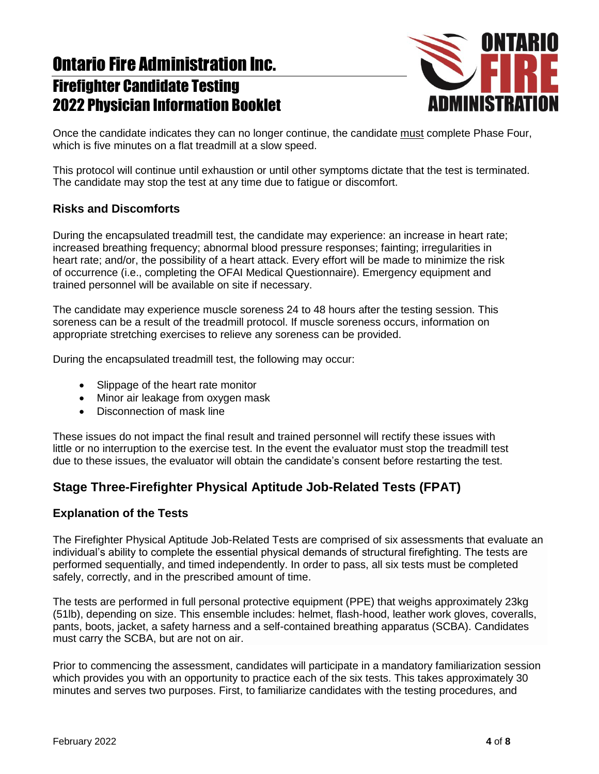

Once the candidate indicates they can no longer continue, the candidate must complete Phase Four, which is five minutes on a flat treadmill at a slow speed.

This protocol will continue until exhaustion or until other symptoms dictate that the test is terminated. The candidate may stop the test at any time due to fatigue or discomfort.

### **Risks and Discomforts**

During the encapsulated treadmill test, the candidate may experience: an increase in heart rate; increased breathing frequency; abnormal blood pressure responses; fainting; irregularities in heart rate; and/or, the possibility of a heart attack. Every effort will be made to minimize the risk of occurrence (i.e., completing the OFAI Medical Questionnaire). Emergency equipment and trained personnel will be available on site if necessary.

The candidate may experience muscle soreness 24 to 48 hours after the testing session. This soreness can be a result of the treadmill protocol. If muscle soreness occurs, information on appropriate stretching exercises to relieve any soreness can be provided.

During the encapsulated treadmill test, the following may occur:

- Slippage of the heart rate monitor
- Minor air leakage from oxygen mask
- Disconnection of mask line

These issues do not impact the final result and trained personnel will rectify these issues with little or no interruption to the exercise test. In the event the evaluator must stop the treadmill test due to these issues, the evaluator will obtain the candidate's consent before restarting the test.

## **Stage Three-Firefighter Physical Aptitude Job-Related Tests (FPAT)**

### **Explanation of the Tests**

The Firefighter Physical Aptitude Job-Related Tests are comprised of six assessments that evaluate an individual's ability to complete the essential physical demands of structural firefighting. The tests are performed sequentially, and timed independently. In order to pass, all six tests must be completed safely, correctly, and in the prescribed amount of time.

The tests are performed in full personal protective equipment (PPE) that weighs approximately 23kg (51lb), depending on size. This ensemble includes: helmet, flash-hood, leather work gloves, coveralls, pants, boots, jacket, a safety harness and a self-contained breathing apparatus (SCBA). Candidates must carry the SCBA, but are not on air.

Prior to commencing the assessment, candidates will participate in a mandatory familiarization session which provides you with an opportunity to practice each of the six tests. This takes approximately 30 minutes and serves two purposes. First, to familiarize candidates with the testing procedures, and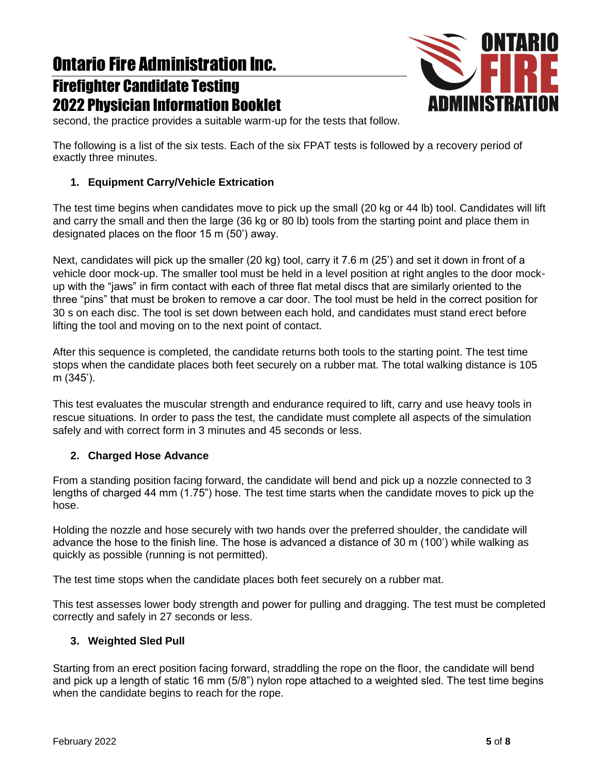# Ontario Fire Administration Inc.

## Firefighter Candidate Testing 2022 Physician Information Booklet



second, the practice provides a suitable warm-up for the tests that follow.

The following is a list of the six tests. Each of the six FPAT tests is followed by a recovery period of exactly three minutes.

### **1. Equipment Carry/Vehicle Extrication**

The test time begins when candidates move to pick up the small (20 kg or 44 lb) tool. Candidates will lift and carry the small and then the large (36 kg or 80 lb) tools from the starting point and place them in designated places on the floor 15 m (50') away.

Next, candidates will pick up the smaller (20 kg) tool, carry it 7.6 m (25') and set it down in front of a vehicle door mock-up. The smaller tool must be held in a level position at right angles to the door mockup with the "jaws" in firm contact with each of three flat metal discs that are similarly oriented to the three "pins" that must be broken to remove a car door. The tool must be held in the correct position for 30 s on each disc. The tool is set down between each hold, and candidates must stand erect before lifting the tool and moving on to the next point of contact.

After this sequence is completed, the candidate returns both tools to the starting point. The test time stops when the candidate places both feet securely on a rubber mat. The total walking distance is 105 m (345').

This test evaluates the muscular strength and endurance required to lift, carry and use heavy tools in rescue situations. In order to pass the test, the candidate must complete all aspects of the simulation safely and with correct form in 3 minutes and 45 seconds or less.

### **2. Charged Hose Advance**

From a standing position facing forward, the candidate will bend and pick up a nozzle connected to 3 lengths of charged 44 mm (1.75") hose. The test time starts when the candidate moves to pick up the hose.

Holding the nozzle and hose securely with two hands over the preferred shoulder, the candidate will advance the hose to the finish line. The hose is advanced a distance of 30 m (100') while walking as quickly as possible (running is not permitted).

The test time stops when the candidate places both feet securely on a rubber mat.

This test assesses lower body strength and power for pulling and dragging. The test must be completed correctly and safely in 27 seconds or less.

### **3. Weighted Sled Pull**

Starting from an erect position facing forward, straddling the rope on the floor, the candidate will bend and pick up a length of static 16 mm (5/8") nylon rope attached to a weighted sled. The test time begins when the candidate begins to reach for the rope.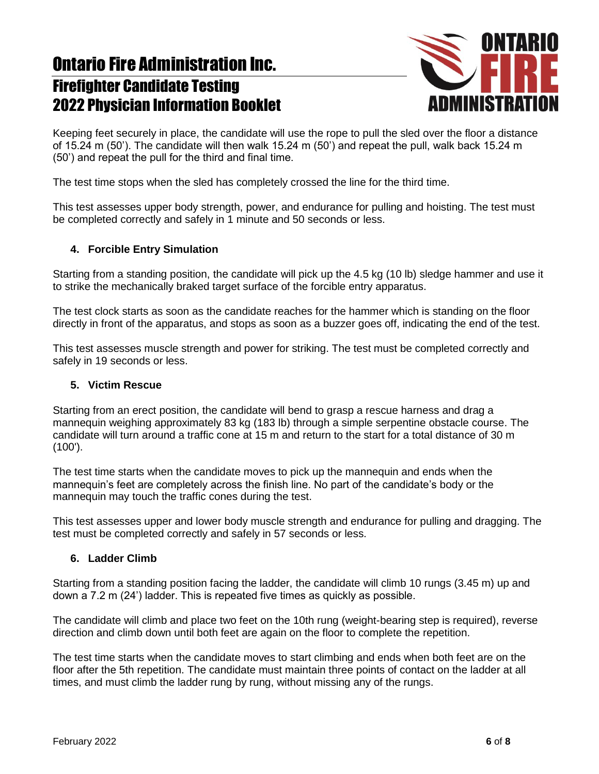

Keeping feet securely in place, the candidate will use the rope to pull the sled over the floor a distance of 15.24 m (50'). The candidate will then walk 15.24 m (50') and repeat the pull, walk back 15.24 m (50') and repeat the pull for the third and final time.

The test time stops when the sled has completely crossed the line for the third time.

This test assesses upper body strength, power, and endurance for pulling and hoisting. The test must be completed correctly and safely in 1 minute and 50 seconds or less.

#### **4. Forcible Entry Simulation**

Starting from a standing position, the candidate will pick up the 4.5 kg (10 lb) sledge hammer and use it to strike the mechanically braked target surface of the forcible entry apparatus.

The test clock starts as soon as the candidate reaches for the hammer which is standing on the floor directly in front of the apparatus, and stops as soon as a buzzer goes off, indicating the end of the test.

This test assesses muscle strength and power for striking. The test must be completed correctly and safely in 19 seconds or less.

#### **5. Victim Rescue**

Starting from an erect position, the candidate will bend to grasp a rescue harness and drag a mannequin weighing approximately 83 kg (183 lb) through a simple serpentine obstacle course. The candidate will turn around a traffic cone at 15 m and return to the start for a total distance of 30 m (100').

The test time starts when the candidate moves to pick up the mannequin and ends when the mannequin's feet are completely across the finish line. No part of the candidate's body or the mannequin may touch the traffic cones during the test.

This test assesses upper and lower body muscle strength and endurance for pulling and dragging. The test must be completed correctly and safely in 57 seconds or less.

#### **6. Ladder Climb**

Starting from a standing position facing the ladder, the candidate will climb 10 rungs (3.45 m) up and down a 7.2 m (24') ladder. This is repeated five times as quickly as possible.

The candidate will climb and place two feet on the 10th rung (weight-bearing step is required), reverse direction and climb down until both feet are again on the floor to complete the repetition.

The test time starts when the candidate moves to start climbing and ends when both feet are on the floor after the 5th repetition. The candidate must maintain three points of contact on the ladder at all times, and must climb the ladder rung by rung, without missing any of the rungs.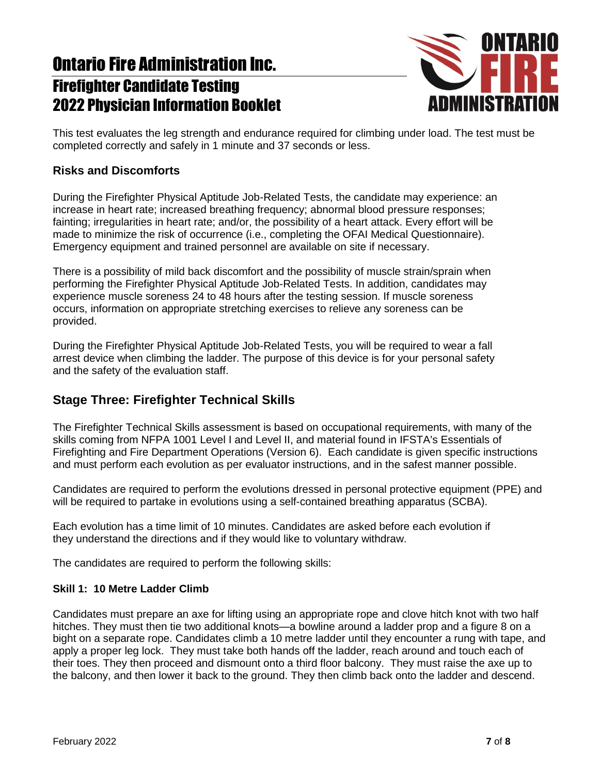

This test evaluates the leg strength and endurance required for climbing under load. The test must be completed correctly and safely in 1 minute and 37 seconds or less.

#### **Risks and Discomforts**

During the Firefighter Physical Aptitude Job-Related Tests, the candidate may experience: an increase in heart rate; increased breathing frequency; abnormal blood pressure responses; fainting; irregularities in heart rate; and/or, the possibility of a heart attack. Every effort will be made to minimize the risk of occurrence (i.e., completing the OFAI Medical Questionnaire). Emergency equipment and trained personnel are available on site if necessary.

There is a possibility of mild back discomfort and the possibility of muscle strain/sprain when performing the Firefighter Physical Aptitude Job-Related Tests. In addition, candidates may experience muscle soreness 24 to 48 hours after the testing session. If muscle soreness occurs, information on appropriate stretching exercises to relieve any soreness can be provided.

During the Firefighter Physical Aptitude Job-Related Tests, you will be required to wear a fall arrest device when climbing the ladder. The purpose of this device is for your personal safety and the safety of the evaluation staff.

### **Stage Three: Firefighter Technical Skills**

The Firefighter Technical Skills assessment is based on occupational requirements, with many of the skills coming from NFPA 1001 Level I and Level II, and material found in IFSTA's Essentials of Firefighting and Fire Department Operations (Version 6). Each candidate is given specific instructions and must perform each evolution as per evaluator instructions, and in the safest manner possible.

Candidates are required to perform the evolutions dressed in personal protective equipment (PPE) and will be required to partake in evolutions using a self-contained breathing apparatus (SCBA).

Each evolution has a time limit of 10 minutes. Candidates are asked before each evolution if they understand the directions and if they would like to voluntary withdraw.

The candidates are required to perform the following skills:

#### **Skill 1: 10 Metre Ladder Climb**

Candidates must prepare an axe for lifting using an appropriate rope and clove hitch knot with two half hitches. They must then tie two additional knots—a bowline around a ladder prop and a figure 8 on a bight on a separate rope. Candidates climb a 10 metre ladder until they encounter a rung with tape, and apply a proper leg lock. They must take both hands off the ladder, reach around and touch each of their toes. They then proceed and dismount onto a third floor balcony. They must raise the axe up to the balcony, and then lower it back to the ground. They then climb back onto the ladder and descend.